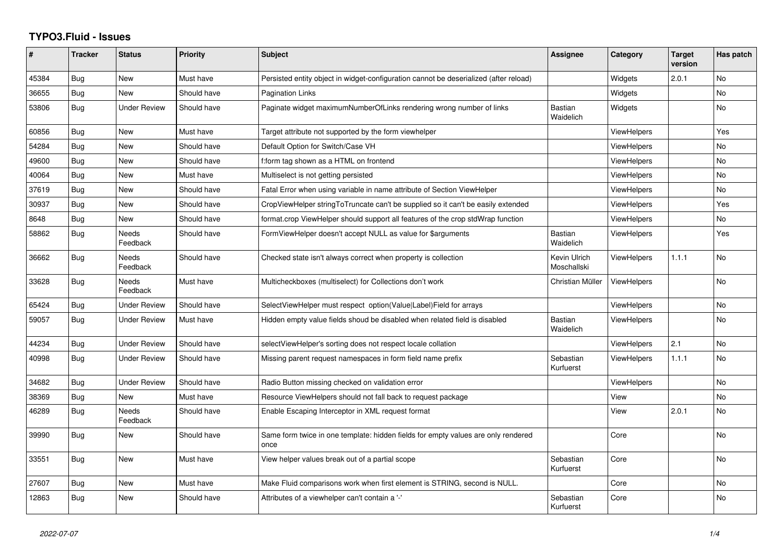## **TYPO3.Fluid - Issues**

| #     | <b>Tracker</b> | <b>Status</b>            | <b>Priority</b> | Subject                                                                                   | Assignee                    | Category           | <b>Target</b><br>version | Has patch |
|-------|----------------|--------------------------|-----------------|-------------------------------------------------------------------------------------------|-----------------------------|--------------------|--------------------------|-----------|
| 45384 | Bug            | <b>New</b>               | Must have       | Persisted entity object in widget-configuration cannot be deserialized (after reload)     |                             | Widgets            | 2.0.1                    | <b>No</b> |
| 36655 | Bug            | New                      | Should have     | <b>Pagination Links</b>                                                                   |                             | Widgets            |                          | <b>No</b> |
| 53806 | Bug            | <b>Under Review</b>      | Should have     | Paginate widget maximumNumberOfLinks rendering wrong number of links                      | <b>Bastian</b><br>Waidelich | Widgets            |                          | <b>No</b> |
| 60856 | Bug            | New                      | Must have       | Target attribute not supported by the form viewhelper                                     |                             | <b>ViewHelpers</b> |                          | Yes       |
| 54284 | Bug            | New                      | Should have     | Default Option for Switch/Case VH                                                         |                             | <b>ViewHelpers</b> |                          | No        |
| 49600 | Bug            | New                      | Should have     | f:form tag shown as a HTML on frontend                                                    |                             | ViewHelpers        |                          | <b>No</b> |
| 40064 | Bug            | New                      | Must have       | Multiselect is not getting persisted                                                      |                             | ViewHelpers        |                          | <b>No</b> |
| 37619 | Bug            | <b>New</b>               | Should have     | Fatal Error when using variable in name attribute of Section ViewHelper                   |                             | <b>ViewHelpers</b> |                          | No        |
| 30937 | Bug            | New                      | Should have     | CropViewHelper stringToTruncate can't be supplied so it can't be easily extended          |                             | <b>ViewHelpers</b> |                          | Yes       |
| 8648  | Bug            | New                      | Should have     | format.crop ViewHelper should support all features of the crop stdWrap function           |                             | <b>ViewHelpers</b> |                          | No        |
| 58862 | Bug            | <b>Needs</b><br>Feedback | Should have     | FormViewHelper doesn't accept NULL as value for \$arguments                               | Bastian<br>Waidelich        | <b>ViewHelpers</b> |                          | Yes       |
| 36662 | Bug            | Needs<br>Feedback        | Should have     | Checked state isn't always correct when property is collection                            | Kevin Ulrich<br>Moschallski | <b>ViewHelpers</b> | 1.1.1                    | <b>No</b> |
| 33628 | Bug            | Needs<br>Feedback        | Must have       | Multicheckboxes (multiselect) for Collections don't work                                  | Christian Müller            | <b>ViewHelpers</b> |                          | <b>No</b> |
| 65424 | Bug            | <b>Under Review</b>      | Should have     | SelectViewHelper must respect option(Value Label)Field for arrays                         |                             | ViewHelpers        |                          | <b>No</b> |
| 59057 | Bug            | <b>Under Review</b>      | Must have       | Hidden empty value fields shoud be disabled when related field is disabled                | <b>Bastian</b><br>Waidelich | <b>ViewHelpers</b> |                          | <b>No</b> |
| 44234 | Bug            | <b>Under Review</b>      | Should have     | selectViewHelper's sorting does not respect locale collation                              |                             | ViewHelpers        | 2.1                      | <b>No</b> |
| 40998 | Bug            | <b>Under Review</b>      | Should have     | Missing parent request namespaces in form field name prefix                               | Sebastian<br>Kurfuerst      | <b>ViewHelpers</b> | 1.1.1                    | No        |
| 34682 | Bug            | <b>Under Review</b>      | Should have     | Radio Button missing checked on validation error                                          |                             | <b>ViewHelpers</b> |                          | <b>No</b> |
| 38369 | Bug            | New                      | Must have       | Resource ViewHelpers should not fall back to request package                              |                             | View               |                          | No        |
| 46289 | Bug            | Needs<br>Feedback        | Should have     | Enable Escaping Interceptor in XML request format                                         |                             | View               | 2.0.1                    | <b>No</b> |
| 39990 | Bug            | New                      | Should have     | Same form twice in one template: hidden fields for empty values are only rendered<br>once |                             | Core               |                          | No        |
| 33551 | <b>Bug</b>     | <b>New</b>               | Must have       | View helper values break out of a partial scope                                           | Sebastian<br>Kurfuerst      | Core               |                          | No.       |
| 27607 | Bug            | New                      | Must have       | Make Fluid comparisons work when first element is STRING, second is NULL.                 |                             | Core               |                          | <b>No</b> |
| 12863 | Bug            | New                      | Should have     | Attributes of a viewhelper can't contain a '-'                                            | Sebastian<br>Kurfuerst      | Core               |                          | <b>No</b> |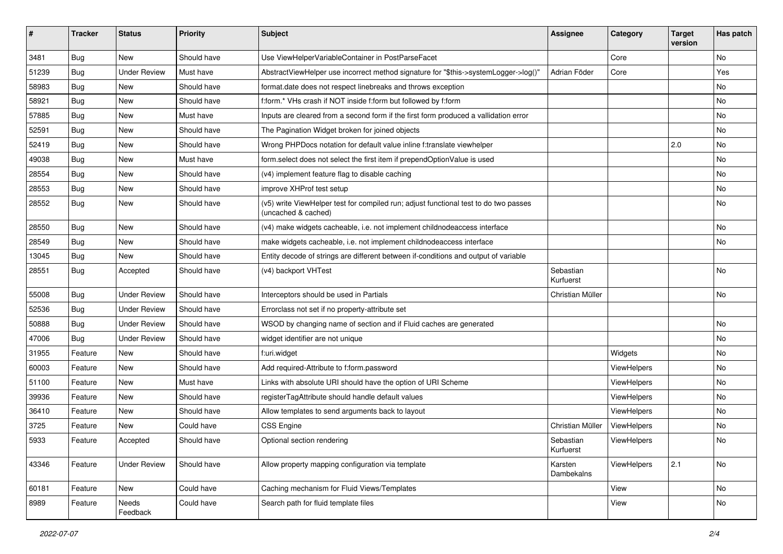| #     | <b>Tracker</b> | <b>Status</b>       | <b>Priority</b> | Subject                                                                                                     | <b>Assignee</b>        | Category    | <b>Target</b><br>version | Has patch |
|-------|----------------|---------------------|-----------------|-------------------------------------------------------------------------------------------------------------|------------------------|-------------|--------------------------|-----------|
| 3481  | Bug            | New                 | Should have     | Use ViewHelperVariableContainer in PostParseFacet                                                           |                        | Core        |                          | No        |
| 51239 | Bug            | <b>Under Review</b> | Must have       | AbstractViewHelper use incorrect method signature for "\$this->systemLogger->log()"                         | Adrian Föder           | Core        |                          | Yes       |
| 58983 | <b>Bug</b>     | New                 | Should have     | format.date does not respect linebreaks and throws exception                                                |                        |             |                          | No        |
| 58921 | Bug            | New                 | Should have     | f:form.* VHs crash if NOT inside f:form but followed by f:form                                              |                        |             |                          | No        |
| 57885 | Bug            | New                 | Must have       | Inputs are cleared from a second form if the first form produced a vallidation error                        |                        |             |                          | No        |
| 52591 | Bug            | New                 | Should have     | The Pagination Widget broken for joined objects                                                             |                        |             |                          | No        |
| 52419 | <b>Bug</b>     | New                 | Should have     | Wrong PHPDocs notation for default value inline f:translate viewhelper                                      |                        |             | 2.0                      | No        |
| 49038 | <b>Bug</b>     | New                 | Must have       | form select does not select the first item if prependOptionValue is used                                    |                        |             |                          | No        |
| 28554 | Bug            | New                 | Should have     | (v4) implement feature flag to disable caching                                                              |                        |             |                          | No        |
| 28553 | Bug            | New                 | Should have     | improve XHProf test setup                                                                                   |                        |             |                          | No        |
| 28552 | <b>Bug</b>     | New                 | Should have     | (v5) write ViewHelper test for compiled run; adjust functional test to do two passes<br>(uncached & cached) |                        |             |                          | No        |
| 28550 | Bug            | New                 | Should have     | (v4) make widgets cacheable, i.e. not implement childnodeaccess interface                                   |                        |             |                          | No        |
| 28549 | Bug            | <b>New</b>          | Should have     | make widgets cacheable, i.e. not implement childnodeaccess interface                                        |                        |             |                          | No        |
| 13045 | Bug            | New                 | Should have     | Entity decode of strings are different between if-conditions and output of variable                         |                        |             |                          |           |
| 28551 | <b>Bug</b>     | Accepted            | Should have     | (v4) backport VHTest                                                                                        | Sebastian<br>Kurfuerst |             |                          | No        |
| 55008 | Bug            | <b>Under Review</b> | Should have     | Interceptors should be used in Partials                                                                     | Christian Müller       |             |                          | No        |
| 52536 | <b>Bug</b>     | <b>Under Review</b> | Should have     | Errorclass not set if no property-attribute set                                                             |                        |             |                          |           |
| 50888 | <b>Bug</b>     | <b>Under Review</b> | Should have     | WSOD by changing name of section and if Fluid caches are generated                                          |                        |             |                          | No        |
| 47006 | <b>Bug</b>     | <b>Under Review</b> | Should have     | widget identifier are not unique                                                                            |                        |             |                          | No.       |
| 31955 | Feature        | New                 | Should have     | f:uri.widget                                                                                                |                        | Widgets     |                          | No        |
| 60003 | Feature        | New                 | Should have     | Add required-Attribute to f:form.password                                                                   |                        | ViewHelpers |                          | No        |
| 51100 | Feature        | New                 | Must have       | Links with absolute URI should have the option of URI Scheme                                                |                        | ViewHelpers |                          | No        |
| 39936 | Feature        | New                 | Should have     | registerTagAttribute should handle default values                                                           |                        | ViewHelpers |                          | No        |
| 36410 | Feature        | New                 | Should have     | Allow templates to send arguments back to layout                                                            |                        | ViewHelpers |                          | No        |
| 3725  | Feature        | New                 | Could have      | <b>CSS Engine</b>                                                                                           | Christian Müller       | ViewHelpers |                          | No        |
| 5933  | Feature        | Accepted            | Should have     | Optional section rendering                                                                                  | Sebastian<br>Kurfuerst | ViewHelpers |                          | No        |
| 43346 | Feature        | <b>Under Review</b> | Should have     | Allow property mapping configuration via template                                                           | Karsten<br>Dambekalns  | ViewHelpers | 2.1                      | No        |
| 60181 | Feature        | New                 | Could have      | Caching mechanism for Fluid Views/Templates                                                                 |                        | View        |                          | No        |
| 8989  | Feature        | Needs<br>Feedback   | Could have      | Search path for fluid template files                                                                        |                        | View        |                          | No        |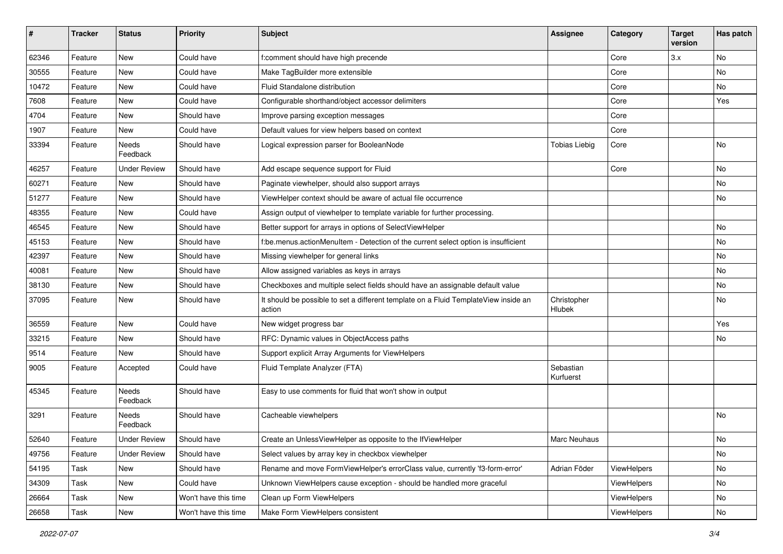| $\sharp$ | <b>Tracker</b> | <b>Status</b>            | <b>Priority</b>      | <b>Subject</b>                                                                                | <b>Assignee</b>        | Category    | <b>Target</b><br>version | Has patch |
|----------|----------------|--------------------------|----------------------|-----------------------------------------------------------------------------------------------|------------------------|-------------|--------------------------|-----------|
| 62346    | Feature        | New                      | Could have           | f:comment should have high precende                                                           |                        | Core        | 3.x                      | No        |
| 30555    | Feature        | New                      | Could have           | Make TagBuilder more extensible                                                               |                        | Core        |                          | No        |
| 10472    | Feature        | New                      | Could have           | Fluid Standalone distribution                                                                 |                        | Core        |                          | No        |
| 7608     | Feature        | New                      | Could have           | Configurable shorthand/object accessor delimiters                                             |                        | Core        |                          | Yes       |
| 4704     | Feature        | New                      | Should have          | Improve parsing exception messages                                                            |                        | Core        |                          |           |
| 1907     | Feature        | New                      | Could have           | Default values for view helpers based on context                                              |                        | Core        |                          |           |
| 33394    | Feature        | Needs<br>Feedback        | Should have          | Logical expression parser for BooleanNode                                                     | <b>Tobias Liebig</b>   | Core        |                          | No        |
| 46257    | Feature        | <b>Under Review</b>      | Should have          | Add escape sequence support for Fluid                                                         |                        | Core        |                          | No        |
| 60271    | Feature        | <b>New</b>               | Should have          | Paginate viewhelper, should also support arrays                                               |                        |             |                          | No        |
| 51277    | Feature        | New                      | Should have          | ViewHelper context should be aware of actual file occurrence                                  |                        |             |                          | No        |
| 48355    | Feature        | New                      | Could have           | Assign output of viewhelper to template variable for further processing.                      |                        |             |                          |           |
| 46545    | Feature        | New                      | Should have          | Better support for arrays in options of SelectViewHelper                                      |                        |             |                          | No        |
| 45153    | Feature        | New                      | Should have          | f:be.menus.actionMenuItem - Detection of the current select option is insufficient            |                        |             |                          | No        |
| 42397    | Feature        | New                      | Should have          | Missing viewhelper for general links                                                          |                        |             |                          | No        |
| 40081    | Feature        | New                      | Should have          | Allow assigned variables as keys in arrays                                                    |                        |             |                          | No        |
| 38130    | Feature        | New                      | Should have          | Checkboxes and multiple select fields should have an assignable default value                 |                        |             |                          | No        |
| 37095    | Feature        | New                      | Should have          | It should be possible to set a different template on a Fluid TemplateView inside an<br>action | Christopher<br>Hlubek  |             |                          | No        |
| 36559    | Feature        | New                      | Could have           | New widget progress bar                                                                       |                        |             |                          | Yes       |
| 33215    | Feature        | New                      | Should have          | RFC: Dynamic values in ObjectAccess paths                                                     |                        |             |                          | No        |
| 9514     | Feature        | New                      | Should have          | Support explicit Array Arguments for ViewHelpers                                              |                        |             |                          |           |
| 9005     | Feature        | Accepted                 | Could have           | Fluid Template Analyzer (FTA)                                                                 | Sebastian<br>Kurfuerst |             |                          |           |
| 45345    | Feature        | <b>Needs</b><br>Feedback | Should have          | Easy to use comments for fluid that won't show in output                                      |                        |             |                          |           |
| 3291     | Feature        | Needs<br>Feedback        | Should have          | Cacheable viewhelpers                                                                         |                        |             |                          | No        |
| 52640    | Feature        | Under Review             | Should have          | Create an UnlessViewHelper as opposite to the IfViewHelper                                    | <b>Marc Neuhaus</b>    |             |                          | No        |
| 49756    | Feature        | <b>Under Review</b>      | Should have          | Select values by array key in checkbox viewhelper                                             |                        |             |                          | No        |
| 54195    | Task           | New                      | Should have          | Rename and move FormViewHelper's errorClass value, currently 'f3-form-error'                  | Adrian Föder           | ViewHelpers |                          | No        |
| 34309    | Task           | New                      | Could have           | Unknown ViewHelpers cause exception - should be handled more graceful                         |                        | ViewHelpers |                          | No        |
| 26664    | Task           | New                      | Won't have this time | Clean up Form ViewHelpers                                                                     |                        | ViewHelpers |                          | No        |
| 26658    | Task           | New                      | Won't have this time | Make Form ViewHelpers consistent                                                              |                        | ViewHelpers |                          | No        |